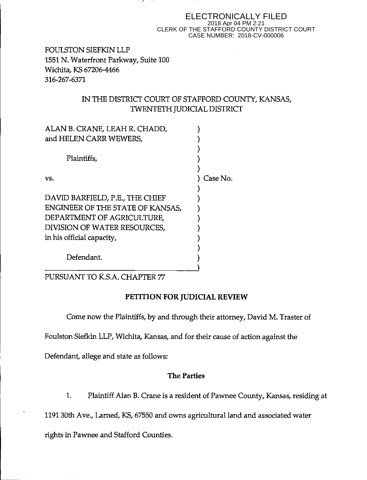#### ELECTRONICALLY FILED 2018 Apr 04 PM 2:21 CLERK OF THE STAFFORD COUNTY DISTRICT COURT CASE NUMBER: 2018-CV-000006

FOULSTON SIEFKIN LLP 1551 N. Waterfront Parkway, Suite 100 Wichita, KS 67206-4466 316-267-6371

 $\frac{1}{2}$ 

## IN THE DISTRICT COURT OF STAFFORD COUNTY, KANSAS, TWENTETH JUDICIAL DISTRICT

| ALAN B. CRANE, LEAH R. CHADD,    |          |
|----------------------------------|----------|
| and HELEN CARR WEWERS,           |          |
|                                  |          |
| Plaintiffs,                      |          |
|                                  |          |
| VS.                              | Case No. |
|                                  |          |
| DAVID BARFIELD, P.E., THE CHIEF  |          |
| ENGINEER OF THE STATE OF KANSAS, |          |
| DEPARTMENT OF AGRICULTURE,       |          |
| DIVISION OF WATER RESOURCES,     |          |
| in his official capacity,        |          |
|                                  |          |
| Defendant.                       |          |
|                                  |          |

PURSUANT TO K.S.A. CHAPTER 77

# **PETITION FOR JUDICIAL REVIEW**

Come now the Plaintiffs, by and through their attorney, David M. Traster of

Foulston Siefkin LLP, Wichita, Kansas, and for their cause of action against the

Defendant, allege and state as follows:

### **The Parties**

1. Plaintiff Alan B. Crane is a resident of Pawnee County, Kansas, residing at

1191 30th Ave., Lamed, KS, 67550 and owns agricultural land and associated water

rights in Pawnee and Stafford Counties.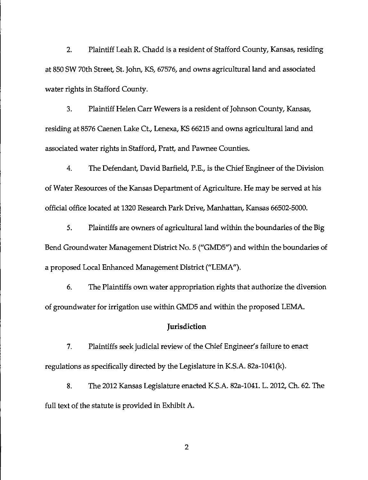2. Plaintiff Leah R. Chadd is a resident of Stafford County, Kansas, residing at 850 SW 70th Street, St. John, KS, 67576, and owns agricultural land and associated water rights in Stafford County.

3. Plaintiff Helen Carr Wewers is a resident of Johnson County, Kansas, residing at 8576 Caenen Lake Ct., Lenexa, KS 66215 and owns agricultural land and associated water rights in Stafford, Pratt, and Pawnee Counties.

4. The Defendant, David Barfield, P.E., is the Chief Engineer of the Division of Water Resources of the Kansas Department of Agriculture. He may be served at his official office located at 1320 Research Park Drive, Manhattan, Kansas 66502-5000.

5. Plaintiffs are owners of agricultural land within the boundaries of the Big Bend Groundwater Management District No. 5 ("GMD5") and within the boundaries of a proposed Local Enhanced Management District ("LEMA").

6. The Plaintiffs own water appropriation rights that authorize the diversion of groundwater for irrigation use within GMD5 and within the proposed LEMA.

#### **Jurisdiction**

7. Plaintiffs seek judicial review of the Chief Engineer's failure to enact regulations as specifically directed by the Legislature in KS.A. 82a-1041(k).

8. The 2012 Kansas Legislature enacted K.S.A. 82a-1041. L. 2012, Ch. 62. The full text of the statute is provided in Exhibit A.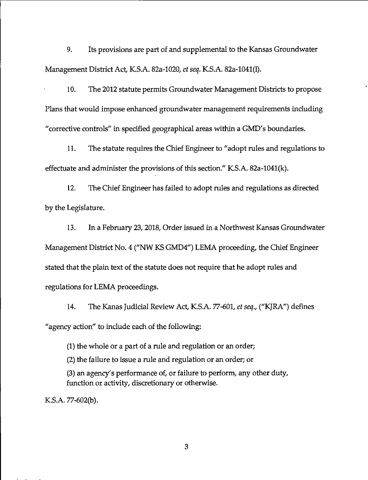9. Its provisions are part of and supplemental to the Kansas Groundwater Management District Act, KS.A. 82a-1020, *et seq.* K.S.A. 82a-1041(1).

10. The 2012 statute permits Groundwater Management Districts to propose Plans that would impose enhanced groundwater management requirements including "corrective controls" in specified geographical areas within a GMD's boundaries.

11. The statute requires the Chief Engineer to "adopt rules and regulations to effectuate and administer the provisions of this section." K.S.A. 82a-104l(k).

12. The Chief Engineer has failed to adopt rules and regulations as directed by the Legislature.

13. In a February 23, 2018, Order issued in a Northwest Kansas Groundwater Management District No. 4 ("NW KS GMD4") LEMA proceeding, the Chief Engineer stated that the plain text of the statute does not require that he adopt rules and regulations for LEMA proceedings.

14. The Kanas Judicial Review Act, KS.A. 77-601, *et seq.,* ("KJRA") defines "agency action" to include each of the following:

(1) the whole or a part of a rule and regulation or an order; (2) the failure to issue a rule and regulation or an order; or (3) an agency's performance of, or failure to perform, any other duty, function or activity, discretionary or otherwise.

KS.A. 77-602(b).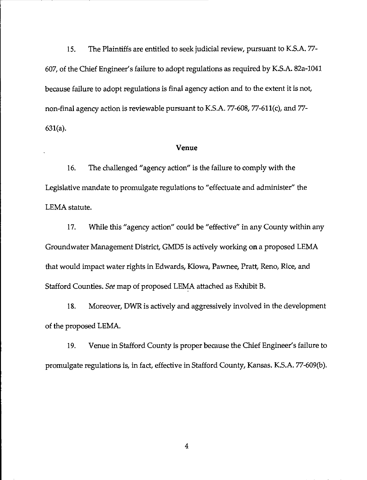15. The Plaintiffs are entitled to seek judicial review, pursuant to KS.A. 77- 607, of the Chief Engineer's failure to adopt regulations as required by K.S.A. 82a-1041 because failure to adopt regulations is final agency action and to the extent it is not, non-final agency action is reviewable pursuant to K.S.A. 77-608, 77-611(c), and 77- 631(a).

#### **Venue**

16. The challenged "agency action" is the failure to comply with the Legislative mandate to promulgate regulations to "effectuate and administer" the LEMA statute.

17. While this "agency action" could be "effective" in any County within any Groundwater Management District, GMDS is actively working on a proposed LEMA that would impact water rights in Edwards, Kiowa, Pawnee, Pratt, Reno, Rice, and Stafford Counties. See map of proposed LEMA attached as Exhibit B.

18. Moreover, DWR is actively and aggressively involved in the development of the proposed LEMA.

19. Venue in Stafford County is proper because the Chief Engineer's failure to promulgate regulations is, in fact, effective in Stafford County, Kansas. KS.A. 77-609(b).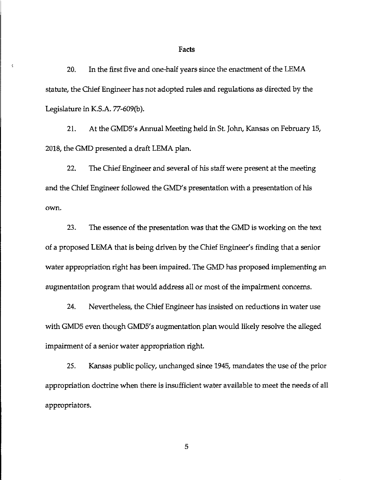#### Facts

20. In the first five and one-half years since the enactment of the LEMA statute, the Chief Engineer has not adopted rules and regulations as directed by the Legislature in K.S.A. 77-609(b).

ķ

21. At the GMD5's Annual Meeting held in St. John, Kansas on February 15, 2018, the GMD presented a draft LEMA plan.

22. The Chief Engineer and several of his staff were present at the meeting and the Chief Engineer followed the GMD's presentation with a presentation of his own.

23. The essence of the presentation was that the GMD is working on the text of a proposed LEMA that is being driven by the Chief Engineer's finding that a senior water appropriation right has been impaired. The GMD has proposed implementing an augmentation program that would address all or most of the impairment concerns.

24. Nevertheless, the Chief Engineer has insisted on reductions in water use with GMD5 even though GMD5's augmentation plan would likely resolve the alleged impairment of a senior water appropriation right.

25. Kansas public policy, unchanged since 1945, mandates the use of the prior appropriation doctrine when there is insufficient water available to meet the needs of all appropriators.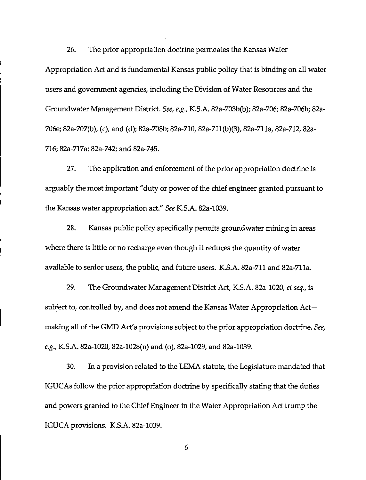26. The prior appropriation doctrine permeates the Kansas Water Appropriation Act and is fundamental Kansas public policy that is binding on all water users and government agencies, including the Division of Water Resources and the Groundwater Management District. *See, e.g.,* K.S.A. 82a-703b(b); 82a-706; 82a-706b; 82a-706e; 82a-707(b), (c), and (d); 82a-708b; 82a-710, 82a-711(b)(3), 82a-71la, 82a-712, 82a-716; 82a-717a; 82a-742; and 82a-745.

27. The application and enforcement of the prior appropriation doctrine is arguably the most important "duty or power of the chief engineer granted pursuant to the Kansas water appropriation act." *See* K.S.A. 82a-1039.

28. Kansas public policy specifically permits groundwater mining in areas where there is little or no recharge even though it reduces the quantity of water available to senior users, the public, and future users. K.S.A. 82a-711 and 82a-711a.

29. The Groundwater Management District Act, K.S.A. 82a-1020, *et seq.,* is subject to, controlled by, and does not amend the Kansas Water Appropriation  $Act$ making all of the GMO Act's provisions subject to the prior appropriation doctrine. *See, e.g.,* K.S.A. 82a-1020, 82a-1028(n) and (o), 82a-1029, and 82a-1039.

30. In a provision related to the LEMA statute, the Legislature mandated that IGUCAs follow the prior appropriation doctrine by specifically stating that the duties and powers granted to the Chief Engineer in the Water Appropriation Act trump the IGUCA provisions. K.S.A. 82a-1039.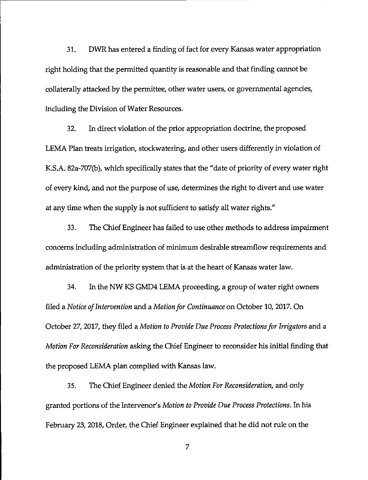31. DWR has entered a finding of fact for every Kansas water appropriation right holding that the permitted quantity is reasonable and that finding cannot be collaterally attacked by the permittee, other water users, or governmental agencies, including the Division of Water Resources.

32. In direct violation of the prior appropriation doctrine, the proposed LEMA Plan treats irrigation, stockwatering, and other users differently in violation of K.S.A. 82a-707(b), which specifically states that the "date of priority of every water right of every kind, and not the purpose of use, determines the right to divert and use water at any time when the supply is not sufficient to satisfy all water rights."

33. The Chief Engineer has failed to use other methods to address impairment concerns including administration of minimum desirable strearnflow requirements and administration of the priority system that is at the heart of Kansas water law.

34. In the NW KS GMD4 LEMA proceeding, a group of water right owners filed a *Notice of Intervention* and a *Motion for Continuance* on October 10, 2017. On October 27, 2017, they filed a *Motion to Provide Due Process Protections for lrrigators* and a *Motion For Reconsideration* asking the Chief Engineer to reconsider his initial finding that the proposed LEMA plan complied with Kansas law.

35. The Chief Engineer denied the *Motion For Reconsideration,* and only granted portions of the Intervenor's *Motion to Provide Due Process Protections.* In his February 23, 2018, Order, the Chief Engineer explained that he did not rule on the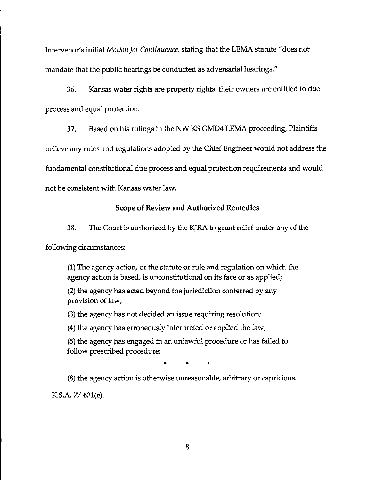Intervenor's initial *Motion for Continuance,* stating that the LEMA statute "does not mandate that the public hearings be conducted as adversarial hearings."

36. Kansas water rights are property rights; their owners are entitled to due process and equal protection.

37. Based on *his* rulings in the NW KS GMD4 LEMA proceeding, Plaintiffs

believe any rules and regulations adopted by the Chief Engineer would not address the

fundamental constitutional due process and equal protection requirements and would

not be consistent with Kansas water law.

#### **Scope of Review and Authorized** Remedies

38. The Court is authorized by the KJRA to grant relief under any of the

following circumstances:

(1) The agency action, or the statute or rule and regulation on which the agency action is based, is unconstitutional on its face or as applied;

(2) the agency has acted beyond the jurisdiction conferred by any provision of law;

(3) the agency has not decided an issue requiring resolution;

(4) the agency has erroneously interpreted or applied the law;

(5) the agency has engaged in an unlawful procedure or has failed to follow prescribed procedure;

\* \* \*

(8) the agency action is otherwise unreasonable, arbitrary or capricious.

KS.A. 77-621(c).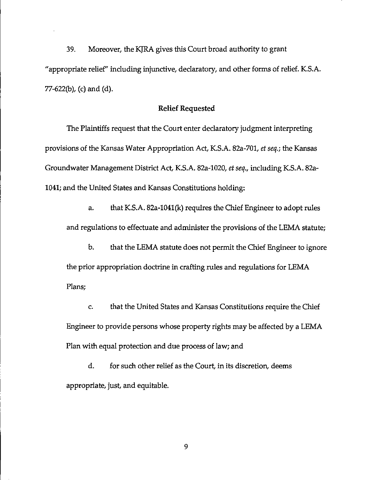39. Moreover, the KJRA gives this Court broad authority to grant "appropriate relief'' including injunctive, declaratory, and other forms of relief. KS.A. 77-622(b), (c) and (d).

#### Relief Requested

The Plaintiffs request that the Court enter declaratory judgment interpreting provisions of the Kansas Water Appropriation Act, K.S.A. 82a-701, *et seq.;* the Kansas Groundwater Management District Act, KS.A. 82a-1020, *et seq.,* including K.S.A. 82a-1041; and the United States and Kansas Constitutions holding:

a. that K.S.A. 82a-1041(k) requires the Chief Engineer to adopt rules and regulations to effectuate and administer the provisions of the LEMA statute;

b. that the LEMA statute does not permit the Chief Engineer to ignore the prior appropriation doctrine in crafting rules and regulations for LEMA Plans;

c. that the United States and Kansas Constitutions require the Chief Engineer to provide persons whose property rights may be affected by a LEMA Plan with equal protection and due process of law; and

d. for such other relief as the Court, in its discretion, deems appropriate, just, and equitable.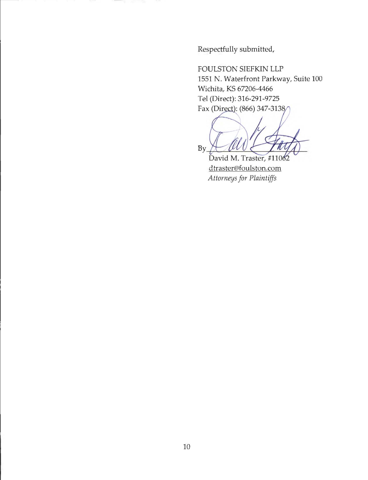Respectfully submitted,

FOULSTON SIEFKIN LLP 1551 N. Waterfront Parkway, Suite 100 Wichita, KS 67206-4466 Tel (Direct): 316-291-9725 Fax (Direct): (866) 347-3138/

 $M_{\rm disk}$  $By$ 

David M. Traster, #11062 dtraster@foulston.com *Attorneys for Plaintiffs*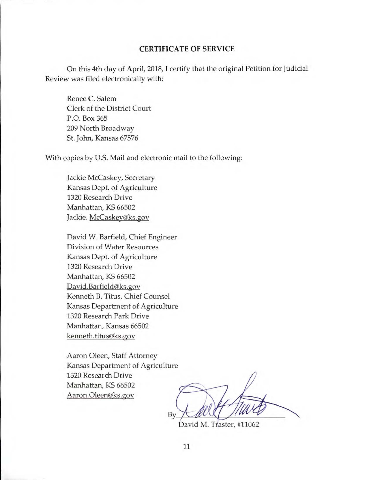#### CERTIFICATE OF SERVICE

On this 4th day of April, 2018, I certify that the original Petition for Judicial Review was filed electronically with:

Renee C. Salem Clerk of the District Court P.O. Box 365 209 North Broadway St. John, Kansas 67576

With copies by U.S. Mail and electronic mail to the following:

Jackie Mccaskey, Secretary Kansas Dept. of Agriculture 1320 Research Drive Manhattan, KS 66502 Jackie. McCaskey@ks.gov

David W. Barfield, Chief Engineer Division of Water Resources Kansas Dept. of Agriculture 1320 Research Drive Manhattan, KS 66502 David.Barfield@ks.gov Kenneth B. Titus, Chief Counsel Kansas Department of Agriculture 1320 Research Park Drive Manhattan, Kansas 66502 kenneth.titus@ks.gov

Aaron Oleen, Staff Attorney Kansas Department of Agriculture 1320 Research Drive Manhattan, KS 66502 Aaron.Oleen@ks.gov

 $by$  -  $u \cdot y$ 

David M. Traster, #11062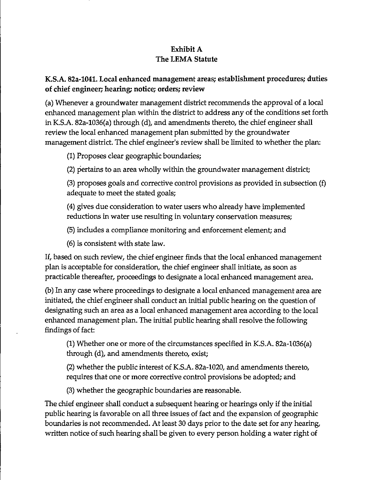# Exhibit A The LEMA Statute

# K.S.A. 82a-1041. Local enhanced management areas; establishment procedures; duties of chief engineer; hearing; notice; orders; review

(a) Whenever a groundwater management district recommends the approval of a local enhanced management plan within the district to address any of the conditions set forth in K.S.A. 82a-1036(a) through (d), and amendments thereto, the chief engineer shall review the local enhanced management plan submitted by the groundwater management district. The chief engineer's review shall be limited to whether the plan:

(1) Proposes clear geographic boundaries;

(2) pertains to an area wholly within the groundwater management district;

(3) proposes goals and corrective control provisions as provided in subsection (f) adequate to meet the stated goals;

(4) gives due consideration to water users who already have implemented reductions in water use resulting in voluntary conservation measures;

(5) includes a compliance monitoring and enforcement element; and

(6) is consistent with state law.

If, based on such review, the chief engineer finds that the local enhanced management plan is acceptable for consideration, the chief engineer shall initiate, as soon as practicable thereafter, proceedings to designate a local enhanced management area.

(b) In any case where proceedings to designate a local enhanced management area are initiated, the chief engineer shall conduct an initial public hearing on the question of designating such an area as a local enhanced management area according to the local enhanced management plan. The initial public hearing shall resolve the following findings of fact:

(1) Whether one or more of the circumstances specified in K.S.A. 82a-1036(a) through (d), and amendments thereto, exist;

(2) whether the public interest of K.S.A. 82a-1020, and amendments thereto, requires that one or more corrective control provisions be adopted; and

(3) whether the geographic boundaries are reasonable.

The chief engineer shall conduct a subsequent hearing or hearings only if the initial public hearing is favorable on all three issues of fact and the expansion of geographic boundaries is not recommended. At least 30 days prior to the date set for any hearing, written notice of such hearing shall be given to every person holding a water right of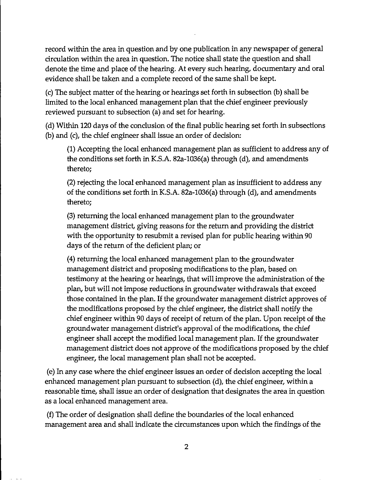record within the area in question and by one publication in any newspaper of general circulation within the area in question. The notice shall state the question and shall denote the time and place of the hearing. At every such hearing, documentary and oral evidence shall be taken and a complete record of the same shall be kept.

(c) The subject matter of the hearing or hearings set forth in subsection (b) shall be limited to the local enhanced management plan that the chief engineer previously reviewed pursuant to subsection (a) and set for hearing.

(d) Within 120 days of the conclusion of the final public hearing set forth in subsections (b) and (c), the chief engineer shall issue an order of decision:

(1) Accepting the local enhanced management plan as sufficient to address any of the conditions set forth in KS.A. 82a-1036(a) through (d), and amendments thereto;

(2) rejecting the local enhanced management plan as insufficient to address any of the conditions set forth in KS.A. 82a-1036(a) through (d), and amendments thereto;

(3) returning the local enhanced management plan to the groundwater management district, giving reasons for the return and providing the district with the opportunity to resubmit a revised plan for public hearing within 90 days of the return of the deficient plan; or

(4) returning the local enhanced management plan to the groundwater management district and proposing modifications to the plan, based on testimony at the hearing or hearings, that will improve the administration of the plan, but will not impose reductions in groundwater withdrawals that exceed those contained in the plan. If the groundwater management district approves of the modifications proposed by the chief engineer, the district shall notify the chief engineer within 90 days of receipt of return of the plan. Upon receipt of the groundwater management district's approval of the modifications, the chief engineer shall accept the modified local management plan. If the groundwater management district does not approve of the modifications proposed by the chief engineer, the local management plan shall not be accepted.

(e) In any case where the chief engineer issues an order of decision accepting the local enhanced management plan pursuant to subsection (d), the chief engineer, within a reasonable time, shall issue an order of designation that designates the area in question as a local enhanced management area.

(f) The order of designation shall define the boundaries of the local enhanced management area and shall indicate the circumstances upon which the findings of the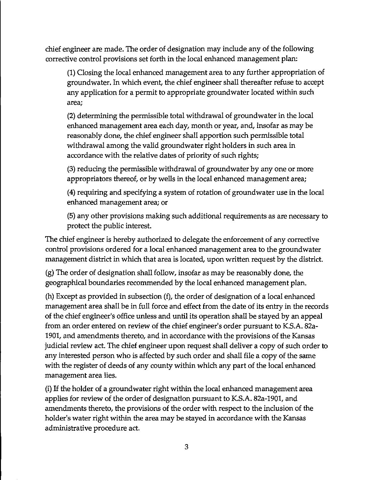chief engineer are made. The order of designation may include any of the following corrective control provisions set forth in the local enhanced management plan:

(1) Closing the local enhanced management area to any further appropriation of groundwater. In which event, the chief engineer shall thereafter refuse to accept any application for a permit to appropriate groundwater located within such area;

(2) determining the permissible total withdrawal of groundwater in the local enhanced management area each day, month or year, and, insofar as may be reasonably done, the chief engineer shall apportion such permissible total withdrawal among the valid groundwater right holders in such area in accordance with the relative dates of priority of such rights;

(3) reducing the permissible withdrawal of groundwater by any one or more appropriators thereof, or by wells in the local enhanced management area;

(4) requiring and specifying a system of rotation of groundwater use in the local enhanced management area; or

(5) any other provisions making such additional requirements as are necessary to protect the public interest.

The chief engineer is hereby authorized to delegate the enforcement of any corrective control provisions ordered for a local enhanced management area to the groundwater management district in which that area is located, upon written request by the district.

(g) The order of designation shall follow, insofar as may be reasonably done, the geographical boundaries recommended by the local enhanced management plan.

(h) Except as provided in subsection  $(f)$ , the order of designation of a local enhanced management area shall be in full force and effect from the date of its entry in the records of the chief engineer's office unless and until its operation shall be stayed by an appeal from an order entered on review of the chief engineer's order pursuant to K.S.A. 82a-1901, and amendments thereto, and in accordance with the provisions of the Kansas judicial review act. The chief engineer upon request shall deliver a copy of such order to any interested person who is affected by such order and shall file a copy of the same with the register of deeds of any county within which any part of the local enhanced management area lies.

(i) If the holder of a groundwater right within the local enhanced management area applies for review of the order of designation pursuant to K.S.A. 82a-1901, and amendments thereto, the provisions of the order with respect to the inclusion of the holder's water right within the area may be stayed in accordance with the Kansas administrative procedure act.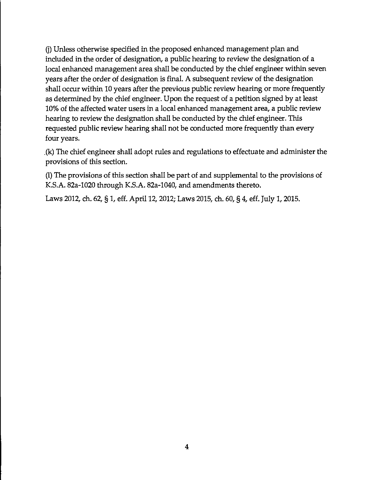Q) Unless otherwise specified in the proposed enhanced management plan and included in the order of designation, a public hearing to review the designation of a local enhanced management area shall be conducted by the chief engineer within seven years after the order of designation is final. A subsequent review of the designation shall occur within 10 years after the previous public review hearing or more frequently as determined by the chief engineer. Upon the request of a petition signed by at least 10% of the affected water users in a local enhanced management area, a public review hearing to review the designation shall be conducted by the chief engineer. This requested public review hearing shall not be conducted more frequently than every four years.

. (k) The chief engineer shall adopt rules and regulations to effectuate and administer the provisions of this section.

(I) The provisions of this section shall be part of and supplemental to the provisions of K.S.A. 82a-1020 through K.S.A. 82a•l040, and amendments thereto.

Laws 2012, ch. 62, § 1, eff. April 12, 2012; Laws 2015, ch. 60, § 4, eff. July 1, 2015.